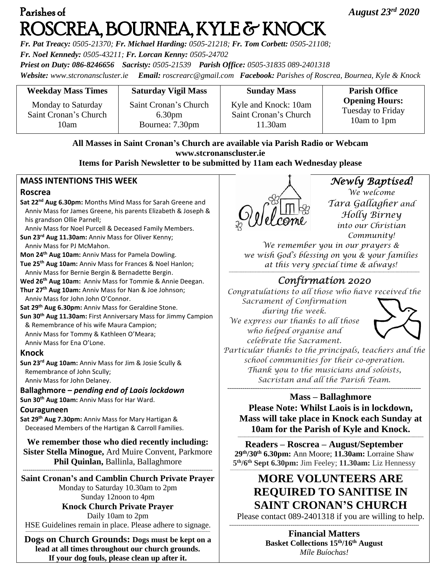# Parishes of *August 23rd 2020*  ROSCREA, BOURNEA, KYLE & KNOCK

*Fr. Pat Treacy: 0505-21370; Fr. Michael Harding: 0505-21218; Fr. Tom Corbett: 0505-21108; Fr. Noel Kennedy: 0505-43211; Fr. Lorcan Kenny: 0505-24702 Priest on Duty: 086-8246656 Sacristy: 0505-21539 Parish Office: 0505-31835 089-2401318*

*Website: [www.stcronanscluster.ie](http://www.stcronanscluster.ie/) Email: [roscrearc@gmail.com](mailto:roscrearc@gmail.com) Facebook: Parishes of Roscrea, Bournea, Kyle & Knock* 

| <b>Weekday Mass Times</b> | <b>Saturday Vigil Mass</b> | <b>Sunday Mass</b>    | <b>Parish Office</b>  |
|---------------------------|----------------------------|-----------------------|-----------------------|
| Monday to Saturday        | Saint Cronan's Church      | Kyle and Knock: 10am  | <b>Opening Hours:</b> |
| Saint Cronan's Church     | 6.30 <sub>pm</sub>         | Saint Cronan's Church | Tuesday to Friday     |
| 10am                      | Bournea: 7.30pm            | 11.30am               | 10am to 1pm           |

**All Masses in Saint Cronan's Church are available via Parish Radio or Webcam www.stcronanscluster.ie**

**Items for Parish Newsletter to be submitted by 11am each Wednesday please**

### **MASS INTENTIONS THIS WEEK**

#### **Roscrea**

**Sat 22nd Aug 6.30pm:** Months Mind Mass for Sarah Greene and Anniv Mass for James Greene, his parents Elizabeth & Joseph & his grandson Ollie Parnell;

Anniv Mass for Noel Purcell & Deceased Family Members.

**Sun 23rd Aug 11.30am:** Anniv Mass for Oliver Kenny;

Anniv Mass for PJ McMahon.

**Mon 24th Aug 10am:** Anniv Mass for Pamela Dowling.

**Tue 25th Aug 10am:** Anniv Mass for Frances & Noel Hanlon; Anniv Mass for Bernie Bergin & Bernadette Bergin.

**Wed 26 th Aug 10am:** Anniv Mass for Tommie & Annie Deegan.

**Thur 27th Aug 10am:** Anniv Mass for Nan & Joe Johnson; Anniv Mass for John John O'Connor.

**Sat 29th Aug 6.30pm:** Anniv Mass for Geraldine Stone.

**Sun 30th Aug 11.30am:** First Anniversary Mass for Jimmy Campion & Remembrance of his wife Maura Campion; Anniv Mass for Tommy & Kathleen O'Meara; Anniv Mass for Ena O'Lone.

#### **Knock**

**Sun 23rd Aug 10am:** Anniv Mass for Jim & Josie Scully & Remembrance of John Scully; Anniv Mass for John Delaney.

**Ballaghmore –** *pending end of Laois lockdown*

**Sun 30th Aug 10am:** Anniv Mass for Har Ward.

#### **Couraguneen**

**Sat 29th Aug 7.30pm:** Anniv Mass for Mary Hartigan & Deceased Members of the Hartigan & Carroll Families.

**We remember those who died recently including: Sister Stella Minogue,** Ard Muire Convent, Parkmore **Phil Quinlan,** Ballinla, Ballaghmore

--------------------------------------------------------------------------------------------------- **Saint Cronan's and Camblin Church Private Prayer** Monday to Saturday 10.30am to 2pm Sunday 12noon to 4pm **Knock Church Private Prayer** Daily 10am to 2pm HSE Guidelines remain in place. Please adhere to signage.

**---------------------------------------------------------------------------------------------------------------------------------------------------------- Dogs on Church Grounds: Dogs must be kept on a lead at all times throughout our church grounds. If your dog fouls, please clean up after it.**



*Newly Baptised! We welcome Tara Gallagher and Holly Birney into our Christian Community!* 

*We remember you in our prayers & we wish God's blessing on you & your families at this very special time & always!* **---------------------------------------------------------------------------------------------------------------------------------------------------------------**

## *Confirmation 2020*

*Congratulations to all those who have received the Sacrament of Confirmation* 

*during the week. We express our thanks to all those who helped organise and celebrate the Sacrament.* 



*Particular thanks to the principals, teachers and the school communities for their co-operation. Thank you to the musicians and soloists, Sacristan and all the Parish Team.* **-----------------------------------------------------------------------------------------------------**

**Mass – Ballaghmore Please Note: Whilst Laois is in lockdown, Mass will take place in Knock each Sunday at 10am for the Parish of Kyle and Knock. -----------------------------------------------------------------------------------------------------------------------------------------------------------**

**Readers – Roscrea – August/September 29th/30th 6.30pm:** Ann Moore; **11.30am:** Lorraine Shaw **5 th/6th Sept 6.30pm:** Jim Feeley; **11.30am:** Liz Hennessy -------------------------------------------------------------------------------------------------------------------------------------------------------------

# **MORE VOLUNTEERS ARE REQUIRED TO SANITISE IN SAINT CRONAN'S CHURCH**

Please contact 089-2401318 if you are willing to help. ---------------------------------------------------------------------------------------------------

**Financial Matters Basket Collections 15th/16th August** *Míle Buíochas!*